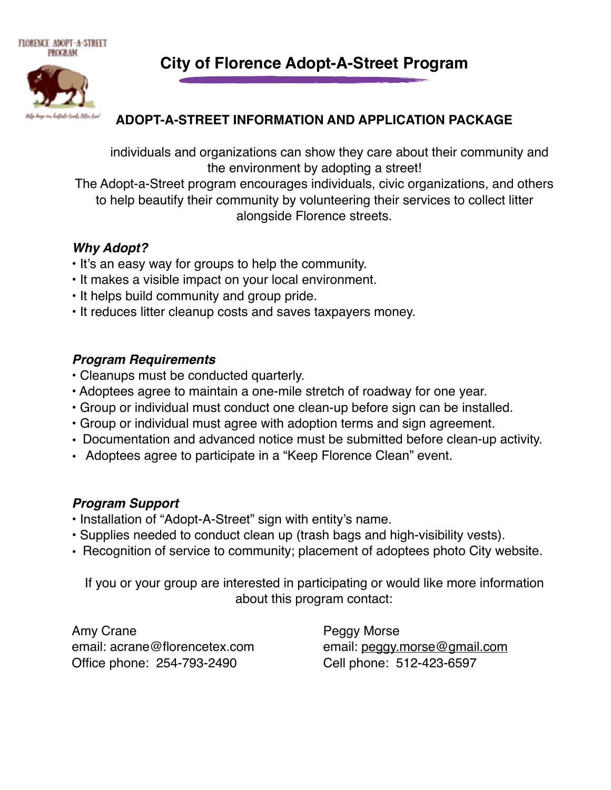le troibe litter tra

**City of Florence Adopt-A-Street Program**

## **ADOPT-A-STREET INFORMATION AND APPLICATION PACKAGE**

individuals and organizations can show they care about their community and the environment by adopting a street!

The Adopt-a-Street program encourages individuals, civic organizations, and others to help beautify their community by volunteering their services to collect litter alongside Florence streets.

#### *Why Adopt?*

- It's an easy way for groups to help the community.
- It makes a visible impact on your local environment.
- It helps build community and group pride.
- It reduces litter cleanup costs and saves taxpayers money.

## *Program Requirements*

- Cleanups must be conducted quarterly.
- Adoptees agree to maintain a one-mile stretch of roadway for one year.
- Group or individual must conduct one clean-up before sign can be installed.
- Group or individual must agree with adoption terms and sign agreement.
- Documentation and advanced notice must be submitted before clean-up activity.
- Adoptees agree to participate in a "Keep Florence Clean" event.

#### *Program Support*

- Installation of "Adopt-A-Street" sign with entity's name.
- Supplies needed to conduct clean up (trash bags and high-visibility vests).
- Recognition of service to community; placement of adoptees photo City website.

If you or your group are interested in participating or would like more information about this program contact:

Amy Crane **Peggy Morse** email: acrane@florencetex.com email: [peggy.morse@gmail.com](mailto:peggy.morse@gmail.com) Office phone: 254-793-2490 Cell phone: 512-423-6597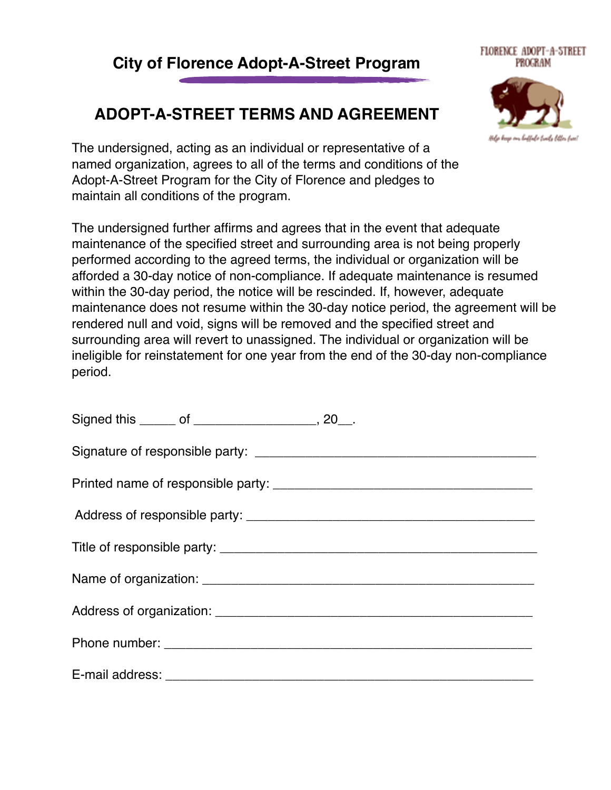## **City of Florence Adopt-A-Street Program**

# **ADOPT-A-STREET TERMS AND AGREEMENT**

The undersigned, acting as an individual or representative of a named organization, agrees to all of the terms and conditions of the Adopt-A-Street Program for the City of Florence and pledges to maintain all conditions of the program.

The undersigned further affirms and agrees that in the event that adequate maintenance of the specified street and surrounding area is not being properly performed according to the agreed terms, the individual or organization will be afforded a 30-day notice of non-compliance. If adequate maintenance is resumed within the 30-day period, the notice will be rescinded. If, however, adequate maintenance does not resume within the 30-day notice period, the agreement will be rendered null and void, signs will be removed and the specified street and surrounding area will revert to unassigned. The individual or organization will be ineligible for reinstatement for one year from the end of the 30-day non-compliance period.

| Signed this ______ of ___________________, 20__. |
|--------------------------------------------------|
|                                                  |
|                                                  |
|                                                  |
|                                                  |
|                                                  |
|                                                  |
|                                                  |
|                                                  |



#### FLORENCE ADOPT-A-STREET PROGRAM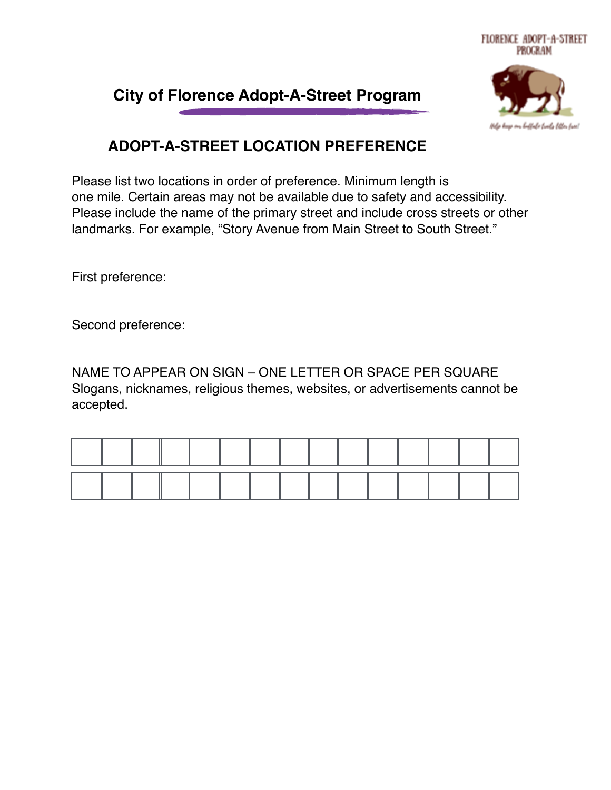

# **City of Florence Adopt-A-Street Program**

## **ADOPT-A-STREET LOCATION PREFERENCE**

Please list two locations in order of preference. Minimum length is one mile. Certain areas may not be available due to safety and accessibility. Please include the name of the primary street and include cross streets or other landmarks. For example, "Story Avenue from Main Street to South Street."

First preference:

Second preference:

NAME TO APPEAR ON SIGN – ONE LETTER OR SPACE PER SQUARE Slogans, nicknames, religious themes, websites, or advertisements cannot be accepted.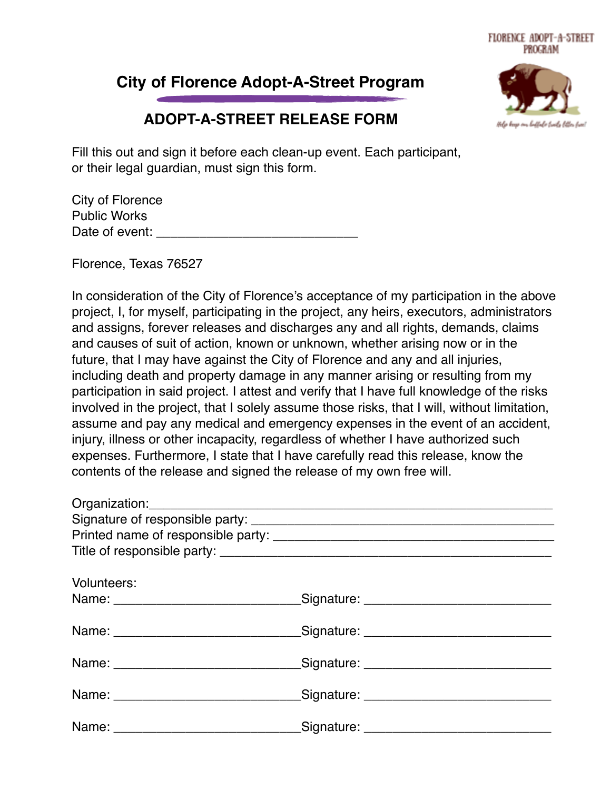# **City of Florence Adopt-A-Street Program**



## **ADOPT-A-STREET RELEASE FORM**

Fill this out and sign it before each clean-up event. Each participant, or their legal guardian, must sign this form.

| City of Florence    |  |
|---------------------|--|
| <b>Public Works</b> |  |
| Date of event:      |  |

Florence, Texas 76527

In consideration of the City of Florence's acceptance of my participation in the above project, I, for myself, participating in the project, any heirs, executors, administrators and assigns, forever releases and discharges any and all rights, demands, claims and causes of suit of action, known or unknown, whether arising now or in the future, that I may have against the City of Florence and any and all injuries, including death and property damage in any manner arising or resulting from my participation in said project. I attest and verify that I have full knowledge of the risks involved in the project, that I solely assume those risks, that I will, without limitation, assume and pay any medical and emergency expenses in the event of an accident, injury, illness or other incapacity, regardless of whether I have authorized such expenses. Furthermore, I state that I have carefully read this release, know the contents of the release and signed the release of my own free will.

| Volunteers: |                                                                                  |
|-------------|----------------------------------------------------------------------------------|
|             | Name: __________________________________Signature: _____________________________ |
|             | Name: _________________________________Signature: ______________________________ |
|             | Name: _________________________________Signature: ______________________________ |
|             | Name: _________________________________Signature: ______________________________ |
|             | Name: __________________________________Signature: _____________________________ |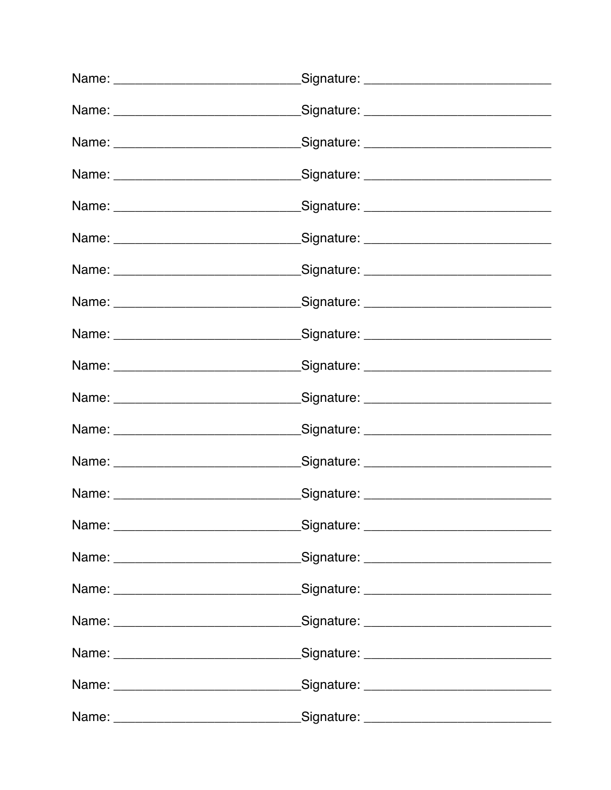| Name: __________________________________Signature: _____________________________ |
|----------------------------------------------------------------------------------|
|                                                                                  |
|                                                                                  |
| Name: ___________________________________Signature: ____________________________ |
|                                                                                  |
| Name: ___________________________________Signature: ____________________________ |
| Name: __________________________________Signature: _____________________________ |
|                                                                                  |
| Name: ___________________________________Signature: ____________________________ |
| Name: __________________________________Signature: _____________________________ |
|                                                                                  |
| Name: ___________________________________Signature: ____________________________ |
| Name: __________________________________Signature: _____________________________ |
|                                                                                  |
|                                                                                  |
| Name: __________________________________Signature: _____________________________ |
|                                                                                  |
|                                                                                  |
|                                                                                  |
| Signature: __________________________________                                    |